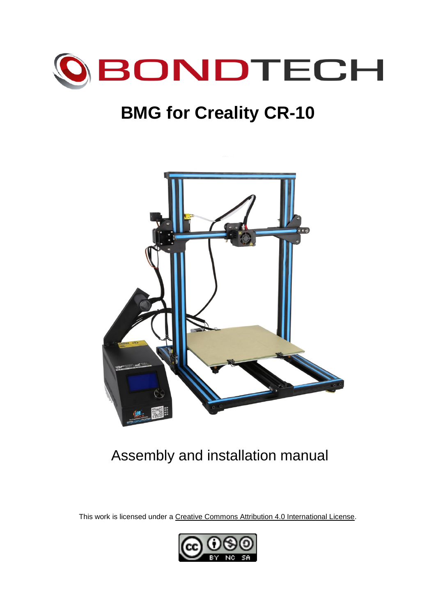

# **BMG for Creality CR-10**



# Assembly and installation manual

This work is licensed under a [Creative Commons Attribution 4.0 International License.](http://creativecommons.org/licenses/by/4.0/)

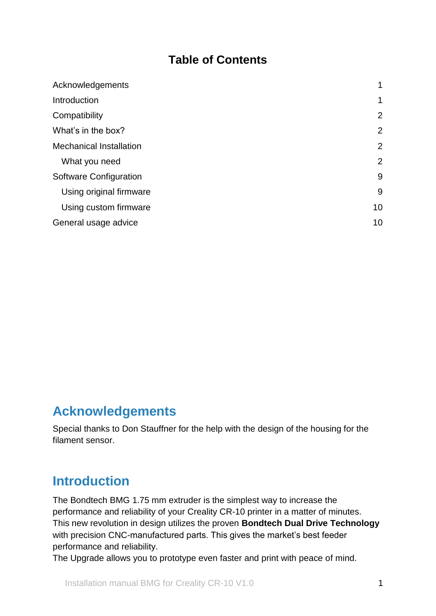#### **Table of Contents**

| Acknowledgements               |                |
|--------------------------------|----------------|
| Introduction                   | 1              |
| Compatibility                  | $\overline{2}$ |
| What's in the box?             | $\overline{2}$ |
| <b>Mechanical Installation</b> | $\overline{2}$ |
| What you need                  | 2              |
| <b>Software Configuration</b>  | 9              |
| Using original firmware        | 9              |
| Using custom firmware          | 10             |
| General usage advice           | 10             |

### <span id="page-1-0"></span>**Acknowledgements**

Special thanks to Don Stauffner for the help with the design of the housing for the filament sensor.

### <span id="page-1-1"></span>**Introduction**

The Bondtech BMG 1.75 mm extruder is the simplest way to increase the performance and reliability of your Creality CR-10 printer in a matter of minutes. This new revolution in design utilizes the proven **Bondtech Dual Drive Technology** with precision CNC-manufactured parts. This gives the market's best feeder performance and reliability.

The Upgrade allows you to prototype even faster and print with peace of mind.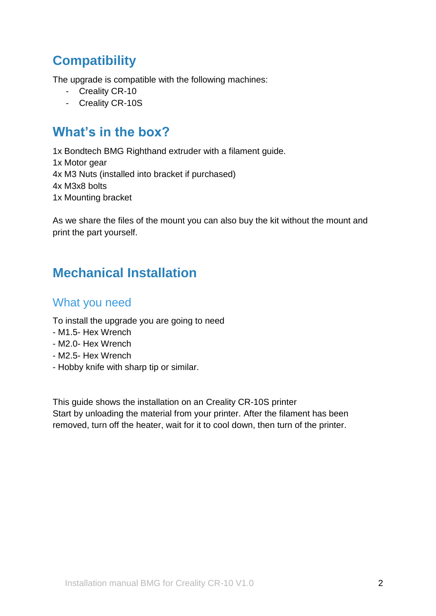## <span id="page-2-0"></span>**Compatibility**

The upgrade is compatible with the following machines:

- Creality CR-10
- Creality CR-10S

### <span id="page-2-1"></span>**What's in the box?**

1x Bondtech BMG Righthand extruder with a filament guide. 1x Motor gear 4x M3 Nuts (installed into bracket if purchased) 4x M3x8 bolts 1x Mounting bracket

As we share the files of the mount you can also buy the kit without the mount and print the part yourself.

## <span id="page-2-2"></span>**Mechanical Installation**

#### <span id="page-2-3"></span>What you need

To install the upgrade you are going to need

- M1.5- Hex Wrench
- M2.0- Hex Wrench
- M2.5- Hex Wrench
- Hobby knife with sharp tip or similar.

This guide shows the installation on an Creality CR-10S printer Start by unloading the material from your printer. After the filament has been removed, turn off the heater, wait for it to cool down, then turn of the printer.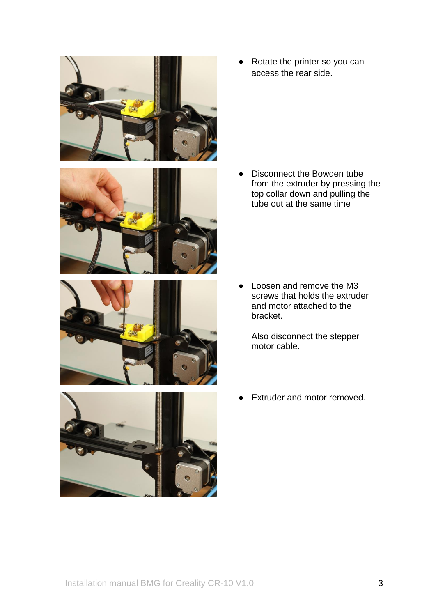







● Rotate the printer so you can access the rear side.

● Disconnect the Bowden tube from the extruder by pressing the top collar down and pulling the tube out at the same time

• Loosen and remove the M3 screws that holds the extruder and motor attached to the bracket.

Also disconnect the stepper motor cable.

● Extruder and motor removed.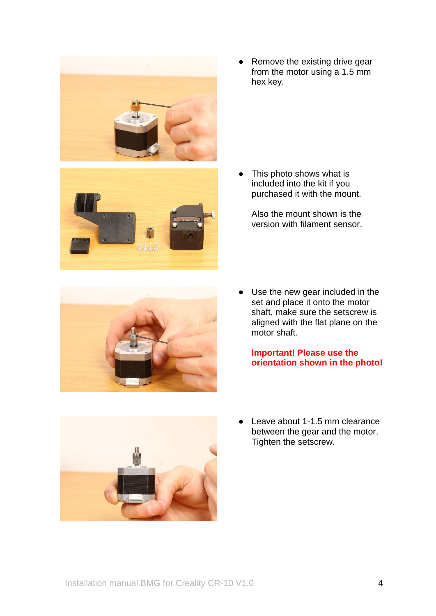

● Remove the existing drive gear from the motor using a 1.5 mm hex key.

• This photo shows what is included into the kit if you purchased it with the mount.

Also the mount shown is the version with filament sensor.



Use the new gear included in the set and place it onto the motor shaft, make sure the setscrew is aligned with the flat plane on the motor shaft.

**Important! Please use the orientation shown in the photo!**



Leave about 1-1.5 mm clearance between the gear and the motor. Tighten the setscrew.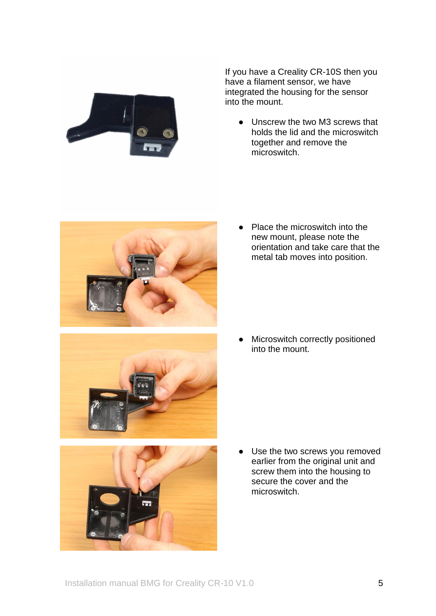

If you have a Creality CR-10S then you have a filament sensor, we have integrated the housing for the sensor into the mount.

● Unscrew the two M3 screws that holds the lid and the microswitch together and remove the microswitch.



● Place the microswitch into the new mount, please note the orientation and take care that the metal tab moves into position.



● Microswitch correctly positioned into the mount.



● Use the two screws you removed earlier from the original unit and screw them into the housing to secure the cover and the microswitch.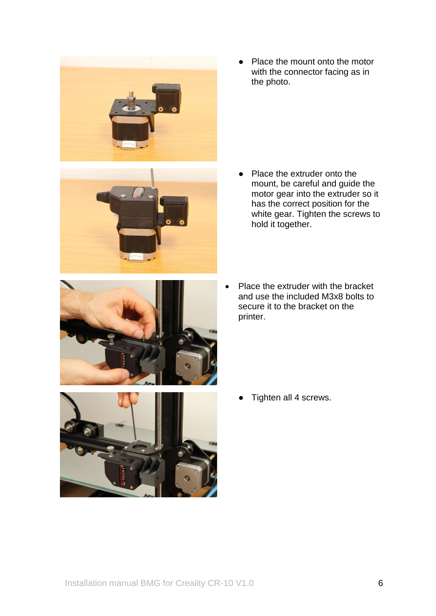

● Place the mount onto the motor with the connector facing as in the photo.

● Place the extruder onto the mount, be careful and guide the motor gear into the extruder so it has the correct position for the white gear. Tighten the screws to hold it together.



• Place the extruder with the bracket and use the included M3x8 bolts to secure it to the bracket on the printer.



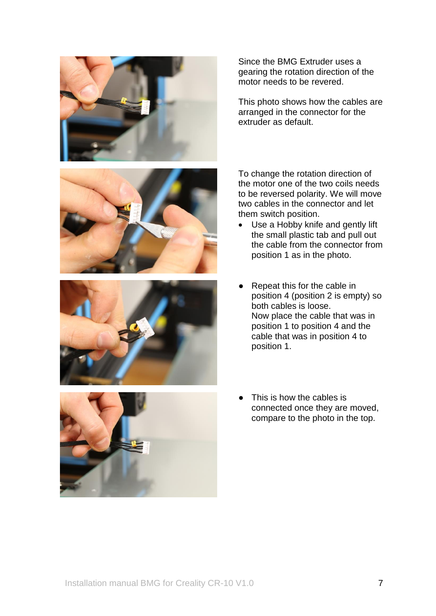

Since the BMG Extruder uses a gearing the rotation direction of the motor needs to be revered.

This photo shows how the cables are arranged in the connector for the extruder as default.

To change the rotation direction of the motor one of the two coils needs to be reversed polarity. We will move two cables in the connector and let them switch position.

- Use a Hobby knife and gently lift the small plastic tab and pull out the cable from the connector from position 1 as in the photo.
- Repeat this for the cable in position 4 (position 2 is empty) so both cables is loose. Now place the cable that was in position 1 to position 4 and the cable that was in position 4 to position 1.



This is how the cables is connected once they are moved, compare to the photo in the top.

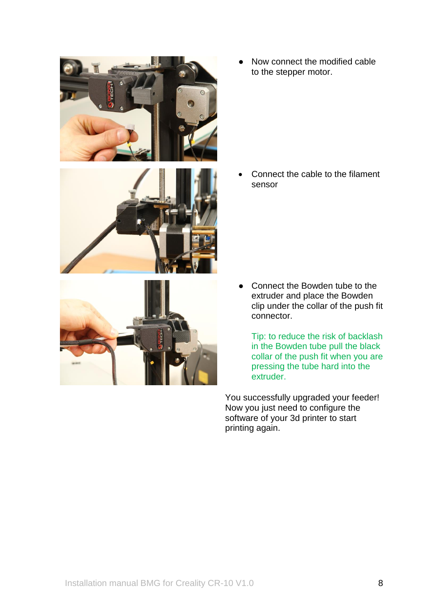





Now connect the modified cable to the stepper motor.

• Connect the cable to the filament sensor

Connect the Bowden tube to the extruder and place the Bowden clip under the collar of the push fit connector.

Tip: to reduce the risk of backlash in the Bowden tube pull the black collar of the push fit when you are pressing the tube hard into the extruder.

You successfully upgraded your feeder! Now you just need to configure the software of your 3d printer to start printing again.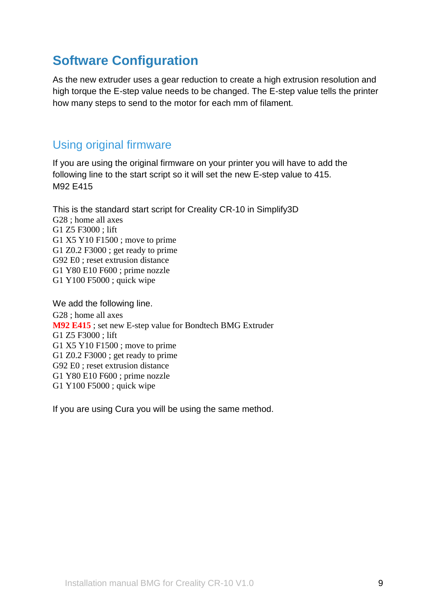### <span id="page-9-0"></span>**Software Configuration**

As the new extruder uses a gear reduction to create a high extrusion resolution and high torque the E-step value needs to be changed. The E-step value tells the printer how many steps to send to the motor for each mm of filament.

#### <span id="page-9-1"></span>Using original firmware

If you are using the original firmware on your printer you will have to add the following line to the start script so it will set the new E-step value to 415. M92 E415

This is the standard start script for Creality CR-10 in Simplify3D G28 ; home all axes G1 Z5 F3000 ; lift G1 X5 Y10 F1500 ; move to prime G1 Z0.2 F3000 ; get ready to prime G92 E0 ; reset extrusion distance G1 Y80 E10 F600 ; prime nozzle G1 Y100 F5000 ; quick wipe

We add the following line. G28 ; home all axes **M92 E415** ; set new E-step value for Bondtech BMG Extruder G1 Z5 F3000 ; lift G1 X5 Y10 F1500 ; move to prime G1 Z0.2 F3000 ; get ready to prime G92 E0 ; reset extrusion distance G1 Y80 E10 F600 ; prime nozzle G1 Y100 F5000 ; quick wipe

If you are using Cura you will be using the same method.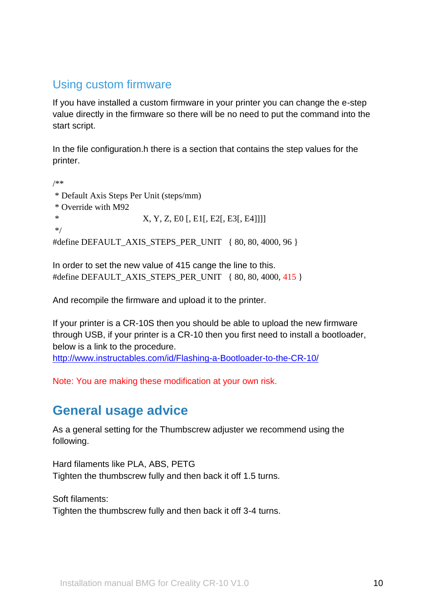#### <span id="page-10-0"></span>Using custom firmware

If you have installed a custom firmware in your printer you can change the e-step value directly in the firmware so there will be no need to put the command into the start script.

In the file configuration.h there is a section that contains the step values for the printer.

/\*\* \* Default Axis Steps Per Unit (steps/mm) \* Override with M92 \* X, Y, Z, E0 [, E1[, E2[, E3[, E4]]]] \*/ #define DEFAULT\_AXIS\_STEPS\_PER\_UNIT { 80, 80, 4000, 96 }

In order to set the new value of 415 cange the line to this. #define DEFAULT AXIS STEPS PER UNIT { 80, 80, 4000, 415 }

And recompile the firmware and upload it to the printer.

If your printer is a CR-10S then you should be able to upload the new firmware through USB, if your printer is a CR-10 then you first need to install a bootloader, below is a link to the procedure.

<http://www.instructables.com/id/Flashing-a-Bootloader-to-the-CR-10/>

<span id="page-10-1"></span>Note: You are making these modification at your own risk.

### **General usage advice**

As a general setting for the Thumbscrew adjuster we recommend using the following.

Hard filaments like PLA, ABS, PETG Tighten the thumbscrew fully and then back it off 1.5 turns.

Soft filaments: Tighten the thumbscrew fully and then back it off 3-4 turns.